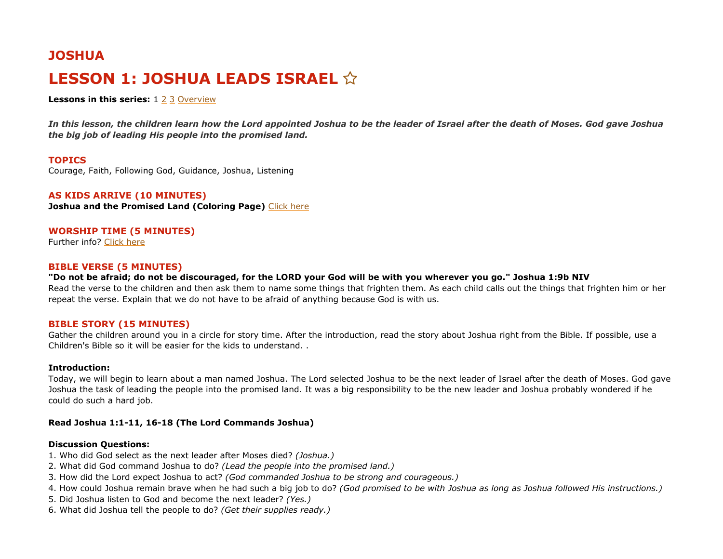# **JOSHUA LESSON 1: JOSHUA LEADS ISRAEL**

**Lessons in this series:** 1 [2](https://www.kidssundayschool.com/preschool/lessons/old-testament/joshua/rahab-and-the-spies) [3](https://www.kidssundayschool.com/preschool/lessons/old-testament/joshua/the-fall-of-jericho) [Overview](https://www.kidssundayschool.com/preschool/lessons/old-testament/joshua)

*In this lesson, the children learn how the Lord appointed Joshua to be the leader of Israel after the death of Moses. God gave Joshua the big job of leading His people into the promised land.*

#### **TOPICS**

Courage, Faith, Following God, Guidance, Joshua, Listening

## **AS KIDS ARRIVE (10 MINUTES)**

**Joshua and the Promised Land (Coloring Page)** [Click here](https://www.kidssundayschool.com/preschool/coloring-pages/joshua-and-the-promised-land)

# **WORSHIP TIME (5 MINUTES)**

Further info? [Click here](https://www.kidssundayschool.com/preschool/lessons/lesson-guides/opening-prayer)

## **BIBLE VERSE (5 MINUTES)**

**"Do not be afraid; do not be discouraged, for the LORD your God will be with you wherever you go." Joshua 1:9b NIV** Read the verse to the children and then ask them to name some things that frighten them. As each child calls out the things that frighten him or her repeat the verse. Explain that we do not have to be afraid of anything because God is with us.

## **BIBLE STORY (15 MINUTES)**

Gather the children around you in a circle for story time. After the introduction, read the story about Joshua right from the Bible. If possible, use a Children's Bible so it will be easier for the kids to understand. .

#### **Introduction:**

Today, we will begin to learn about a man named Joshua. The Lord selected Joshua to be the next leader of Israel after the death of Moses. God gave Joshua the task of leading the people into the promised land. It was a big responsibility to be the new leader and Joshua probably wondered if he could do such a hard job.

#### **Read Joshua 1:1-11, 16-18 (The Lord Commands Joshua)**

#### **Discussion Questions:**

- 1. Who did God select as the next leader after Moses died? *(Joshua.)*
- 2. What did God command Joshua to do? *(Lead the people into the promised land.)*
- 3. How did the Lord expect Joshua to act? *(God commanded Joshua to be strong and courageous.)*
- 4. How could Joshua remain brave when he had such a big job to do? *(God promised to be with Joshua as long as Joshua followed His instructions.)*
- 5. Did Joshua listen to God and become the next leader? *(Yes.)*
- 6. What did Joshua tell the people to do? *(Get their supplies ready.)*